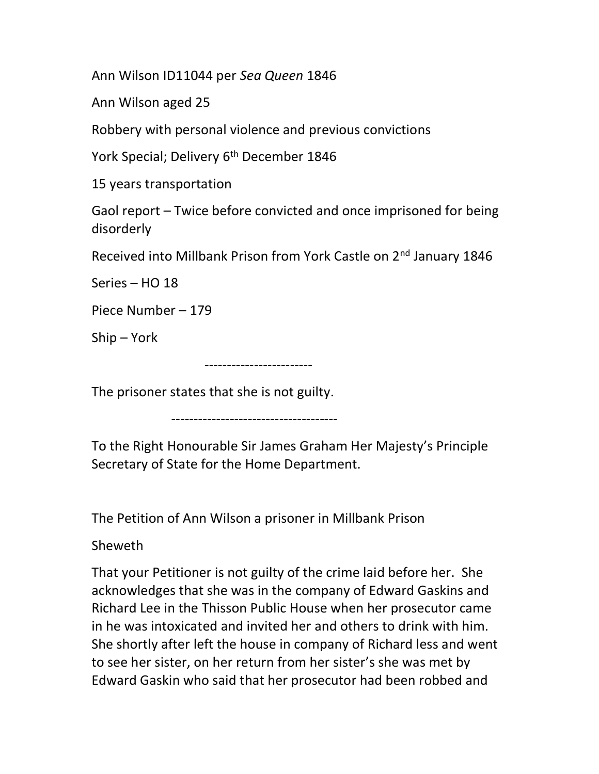Ann Wilson ID11044 per Sea Queen 1846

Ann Wilson aged 25

Robbery with personal violence and previous convictions

York Special; Delivery 6<sup>th</sup> December 1846

15 years transportation

Gaol report – Twice before convicted and once imprisoned for being disorderly

Received into Millbank Prison from York Castle on 2<sup>nd</sup> January 1846

Series – HO 18

Piece Number – 179

Ship – York

------------------------

The prisoner states that she is not guilty.

-------------------------------------

To the Right Honourable Sir James Graham Her Majesty's Principle Secretary of State for the Home Department.

The Petition of Ann Wilson a prisoner in Millbank Prison

Sheweth

That your Petitioner is not guilty of the crime laid before her. She acknowledges that she was in the company of Edward Gaskins and Richard Lee in the Thisson Public House when her prosecutor came in he was intoxicated and invited her and others to drink with him. She shortly after left the house in company of Richard less and went to see her sister, on her return from her sister's she was met by Edward Gaskin who said that her prosecutor had been robbed and